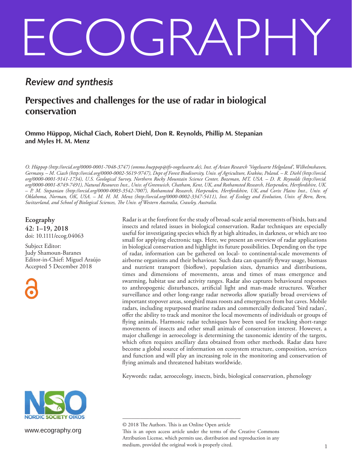# ECOGRAPHY

# *Review and synthesis*

## **Perspectives and challenges for the use of radar in biological conservation**

**Ommo Hüppop, Michał Ciach, Robert Diehl, Don R. Reynolds, Phillip M. Stepanian and Myles H. M. Menz**

*O. Hüppop (http://orcid.org/0000-0001-7048-3747) (ommo.hueppop@ifv-vogelwarte.de), Inst. of Avian Research 'Vogelwarte Helgoland', Wilhelmshaven, Germany. – M. Ciach (http://orcid.org/0000-0002-5619-9747), Dept of Forest Biodiversity, Univ. of Agriculture, Kraków, Poland. – R. Diehl (http://orcid. org/0000-0001-9141-1734), U.S. Geological Survey, Northern Rocky Mountain Science Center, Bozeman, MT, USA. – D. R. Reynolds (http://orcid. org/0000-0001-8749-7491), Natural Resources Inst., Univ. of Greenwich, Chatham, Kent, UK, and Rothamsted Research, Harpenden, Hertfordshire, UK. – P. M. Stepanian (http://orcid.org/0000-0003-3542-7007), Rothamsted Research, Harpenden, Hertfordshire, UK, and Corix Plains Inst., Univ. of Oklahoma, Norman, OK, USA. – M. H. M. Menz (http://orcid.org/0000-0002-3347-5411), Inst. of Ecology and Evolution, Univ. of Bern, Bern, Switzerland, and School of Biological Sciences, The Univ. of Western Australia, Crawley, Australia.*

**Ecography 42: 1–19, 2018** doi: 10.1111/ecog.04063

Subject Editor: Judy Shamoun-Baranes Editor-in-Chief: Miguel Araújo Accepted 5 December 2018

Radar is at the forefront for the study of broad-scale aerial movements of birds, bats and insects and related issues in biological conservation. Radar techniques are especially useful for investigating species which fly at high altitudes, in darkness, or which are too small for applying electronic tags. Here, we present an overview of radar applications in biological conservation and highlight its future possibilities. Depending on the type of radar, information can be gathered on local- to continental-scale movements of airborne organisms and their behaviour. Such data can quantify flyway usage, biomass and nutrient transport (bioflow), population sizes, dynamics and distributions, times and dimensions of movements, areas and times of mass emergence and swarming, habitat use and activity ranges. Radar also captures behavioural responses to anthropogenic disturbances, artificial light and man-made structures. Weather surveillance and other long-range radar networks allow spatially broad overviews of important stopover areas, songbird mass roosts and emergences from bat caves. Mobile radars, including repurposed marine radars and commercially dedicated 'bird radars', offer the ability to track and monitor the local movements of individuals or groups of flying animals. Harmonic radar techniques have been used for tracking short-range movements of insects and other small animals of conservation interest. However, a major challenge in aeroecology is determining the taxonomic identity of the targets, which often requires ancillary data obtained from other methods. Radar data have become a global source of information on ecosystem structure, composition, services and function and will play an increasing role in the monitoring and conservation of flying animals and threatened habitats worldwide.

Keywords: radar, aeroecology, insects, birds, biological conservation, phenology



www.ecography.org

<sup>––––––––––––––––––––––––––––––––––––––––</sup> © 2018 The Authors. This is an Online Open article This is an open access article under the terms of the Creative Commons Attribution License, which permits use, distribution and reproduction in any medium, provided the original work is properly cited.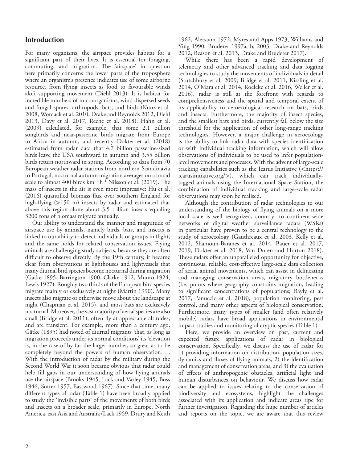### **Introduction**

For many organisms, the airspace provides habitat for a significant part of their lives. It is essential for foraging, commuting, and migration. The 'airspace' in question here primarily concerns the lower parts of the troposphere where an organism's presence indicates use of some airborne resource, from flying insects as food to favourable winds aloft supporting movement (Diehl 2013). It is habitat for incredible numbers of microorganisms, wind dispersed seeds and fungal spores, arthropods, bats, and birds (Kunz et al. 2008, Womack et al. 2010, Drake and Reynolds 2012, Diehl 2013, Davy et al. 2017, Reche et al. 2018). Hahn et al. (2009) calculated, for example, that some 2.1 billion songbirds and near-passerine birds migrate from Europe to Africa in autumn, and recently Dokter et al. (2018) estimated from radar data that 4.7 billion passerine-sized birds leave the USA southward in autumn and 3.55 billion birds return northward in spring. According to data from 70 European weather radar stations from northern Scandinavia to Portugal, nocturnal autumn migration averages on a broad scale to almost 400 birds  $km^{-1}$  h<sup>-1</sup> Nilsson et al. (2019). The mass of insects in the air is even more impressive: Hu et al. (2016) quantified biomass flux over southern England for high-flying (>150 m) insects by radar and estimated that above this region alone about 3.5 trillion insects equaling 3200 tons of biomass migrate annually.

Our ability to understand the manner and magnitude of airspace use by animals, namely birds, bats, and insects is linked to our ability to detect individuals or groups in flight, and the same holds for related conservation issues. Flying animals are challenging study subjects, because they are often difficult to observe directly. By the 19th century, it became clear from observations at lighthouses and lightvessels that many diurnal bird species become nocturnal during migration (Gätke 1895, Barrington 1900, Clarke 1912, Munro 1924, Lewis 1927). Roughly two thirds of the European bird species migrate mainly or exclusively at night (Martin 1990). Many insects also migrate or otherwise move about the landscape at night (Chapman et al. 2015), and most bats are exclusively nocturnal. Moreover, the vast majority of aerial species are also small (Bridge et al. 2011), often fly at appreciable altitudes, and are transient. For example, more than a century ago, Gätke (1895) had noted of diurnal migrants 'that, as long as migration proceeds under its normal conditions' its 'elevation is, in the case of by far the larger number, so great as to be completely beyond the powers of human observation…'. With the introduction of radar by the military during the Second World War it soon became obvious that radar could help fill gaps in our understanding of how flying animals use the airspace (Brooks 1945, Lack and Varley 1945, Buss 1946, Sutter 1957, Eastwood 1967). Since that time, many different types of radar (Table 1) have been broadly applied to study the 'invisible parts' of the movements of both birds and insects on a broader scale, primarily in Europe, North America, east Asia and Australia (Lack 1959, Drury and Keith

1962, Alerstam 1972, Myres and Apps 1973, Williams and Ying 1990, Bruderer 1997a, b, 2003, Drake and Reynolds 2012, Beason et al. 2013, Drake and Bruderer 2017).

While there has been a rapid development of telemetry and other advanced tracking and data logging technologies to study the movements of individuals in detail (Stutchbury et al. 2009, Bridge et al. 2011, Kissling et al. 2014, O'Mara et al. 2014, Roeleke et al. 2016, Weller et al. 2016), radar is still at the forefront with regards to comprehensiveness and the spatial and temporal extent of its applicability to aeroecological research on bats, birds and insects. Furthermore, the majority of insect species, and the smallest bats and birds, currently fall below the size threshold for the application of other long-range tracking technologies. However, a major challenge in aeroecology is the ability to link radar data with species identification or with individual tracking information, which will allow observations of individuals to be used to infer populationlevel movements and processes. With the advent of large-scale tracking capabilities such as the Icarus Initiative (<https:// icarusinitiative.org/>), which can track individuallytagged animals using the International Space Station, the combination of individual tracking and large-scale radar observations may soon be realised.

Although the contribution of radar technologies to our understanding of the biology of flying animals on a more local scale is well recognized, country- to continent-wide networks of digital weather surveillance radars (WSRs) in particular have proven to be a central technology to the study of aeroecology (Gauthreaux et al. 2003, Kelly et al. 2012, Shamoun-Baranes et al. 2014, Bauer et al. 2017, 2019, Dokter et al. 2018, Van Doren and Horton 2018). These radars offer an unparalleled opportunity for objective, continuous, reliable, cost-effective large-scale data collection of aerial animal movements, which can assist in delineating and managing conservation areas, migratory bottlenecks (i.e. points where geography constrains migration, leading to significant concentrations of populations; Bayly et al. 2017, Panuccio et al. 2018), population monitoring, pest control, and many other aspects of biological conservation. Furthermore, many types of smaller (and often relatively mobile) radars have broad applications in environmental impact studies and monitoring of cryptic species (Table 1).

Here, we provide an overview on past, current and expected future applications of radar in biological conservation. Specifically, we discuss the use of radar for 1) providing information on distribution, population sizes, dynamics and fluxes of flying animals, 2) the identification and management of conservation areas, and 3) the evaluation of effects of anthropogenic obstacles, artificial light and human disturbances on behaviour. We discuss how radar can be applied to issues relating to the conservation of biodiversity and ecosystems, highlight the challenges associated with its application and indicate areas ripe for further investigation. Regarding the huge number of articles and reports on the topic, we are aware that this review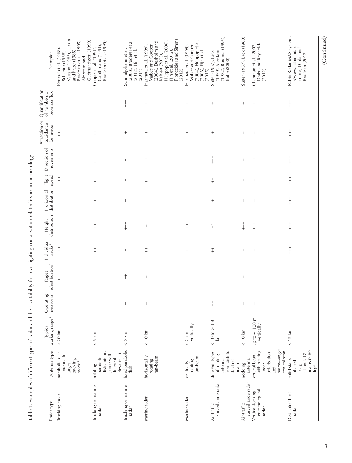| fixed parabolic<br>dish antenna<br>parabolic dish<br>(some with<br>antenna in<br>elevations)<br>parabolic<br>horizontally<br>fan-beam<br>rotating<br>fan-beam<br>different<br>target<br>tracking<br>rotating<br>mode <sup>3</sup><br>vertically<br>rotating<br>dish<br>Tracking or marine<br>Tracking or marine<br>Tracking radar<br>Marine radar<br>radar<br>radar | working range <sup>1</sup>  | Operating<br>networks          | identification <sup>2</sup><br>Target                                                                                                                                                                                                                                                                                                                                                                          | Individual<br>tracks <sup>3</sup> | distribution<br>Height   | distribution<br>Horizontal | Flight<br>speed                            | Direction of<br>movements | avoidance<br>behaviour                     | of numbers or<br>biomass flux | Examples                                                                                                                                                               |
|---------------------------------------------------------------------------------------------------------------------------------------------------------------------------------------------------------------------------------------------------------------------------------------------------------------------------------------------------------------------|-----------------------------|--------------------------------|----------------------------------------------------------------------------------------------------------------------------------------------------------------------------------------------------------------------------------------------------------------------------------------------------------------------------------------------------------------------------------------------------------------|-----------------------------------|--------------------------|----------------------------|--------------------------------------------|---------------------------|--------------------------------------------|-------------------------------|------------------------------------------------------------------------------------------------------------------------------------------------------------------------|
| Marine radar                                                                                                                                                                                                                                                                                                                                                        | $< 20$ km                   |                                | $+$<br>+                                                                                                                                                                                                                                                                                                                                                                                                       | $+$<br>+                          |                          |                            | $\begin{array}{c} + \\ + \\ + \end{array}$ | $\ddagger$                | $\begin{array}{c} + \\ + \\ + \end{array}$ |                               | Vaughn (1985), Larkin<br>and Frase (1988),<br>Bruderer et al. (1995),<br>Gudmundsson (1999)<br>Konrad et al. (1968),<br>Schaefer (1968),<br>Alerstam and               |
|                                                                                                                                                                                                                                                                                                                                                                     | < 5 km                      | $\mathbb{I}$                   |                                                                                                                                                                                                                                                                                                                                                                                                                | $\ddagger$                        | $\ddagger$               | $\! + \!\!\!\!$            | $\ddagger$                                 | $+$<br>$+$                | $\ddagger$                                 | $\ddagger$                    | Bruderer et al. (1995)<br>Gauthreaux (1991),<br>Cooper et al. (1991),                                                                                                  |
|                                                                                                                                                                                                                                                                                                                                                                     | < 5 km                      | $\overline{1}$                 | $+$                                                                                                                                                                                                                                                                                                                                                                                                            |                                   | $+ +$                    |                            | $\mathbf{I}$                               | $^{+}$                    | $^{+}$                                     | $+$<br>$+$                    | (2008), Bruderer et al.<br>Schmaljohann et al.<br>(2012), Hill et al.<br>(2014)                                                                                        |
|                                                                                                                                                                                                                                                                                                                                                                     | $< 10$ km                   |                                | I                                                                                                                                                                                                                                                                                                                                                                                                              | $\ddagger$                        | $\overline{\phantom{a}}$ | $\ddagger$                 | $\ddagger$                                 | $\ddagger$                | $\! + \!\!\!\!$                            | $\! + \!\!\!\!$               | Plonczkier and Simms<br>Hüppop et al. (2006),<br>(2004), Desholm and<br>Harmata et al. (1999),<br>Mabee and Cooper<br>Fijn et al. (2012),<br>Kahlert (2005),<br>(2012) |
|                                                                                                                                                                                                                                                                                                                                                                     | vertically<br>$< 2$ km      | $\mathbb I$                    | $\begin{array}{c} \hline \end{array}$                                                                                                                                                                                                                                                                                                                                                                          | $\! + \!\!\!\!$                   | $^+_\mathrm{+}$          | $\overline{\phantom{a}}$   | $\overline{\phantom{a}}$                   | $\overline{\phantom{a}}$  | $^{+}$                                     | $\! + \!\!\!\!$               | (2004), Hüppop et al.<br>Mabee and Cooper<br>Harmata et al. (1999),<br>(2006), Fijn et al.<br>(2015)                                                                   |
| from dish to<br>different types<br>of rotating<br>antenna<br>stacked<br>beam<br>surveillance radar<br>Air-traffic                                                                                                                                                                                                                                                   | $< 10$ to $> 150$           | $+$                            | $\begin{array}{c} \hline \end{array}$                                                                                                                                                                                                                                                                                                                                                                          | $\ddagger$                        | $\,{}^+_\,+$             | $\! + \!\!\!\!$            | $\ddagger$                                 | $+$<br>$+$                |                                            | $\! + \!\!\!\!$               | $(1972)$ , Buurma $(1995)$ ,<br>(1959), Alerstam<br>Sutter (1957), Lack<br>Ruhe (2000)                                                                                 |
| antenna<br>nodding<br>surveillance radar<br>Air-traffic                                                                                                                                                                                                                                                                                                             | $< 10$ km                   | $\begin{array}{c} \end{array}$ | $\overline{\phantom{a}}$                                                                                                                                                                                                                                                                                                                                                                                       | $\overline{\phantom{a}}$          | $\ddagger$               | $\overline{\phantom{a}}$   | $\overline{\phantom{a}}$                   | Ť                         | $\overline{\phantom{a}}$                   | $\qquad \qquad +$             | Sutter (1957), Lack (1960)                                                                                                                                             |
| narrow-angle<br>with rotating<br>conical scan<br>polarisation<br>vertical beam,<br>linear<br>and<br>Vertical-looking<br>entomological<br>radar                                                                                                                                                                                                                      | up to ~1100 m<br>vertically | $\overline{\phantom{a}}$       | $^{+}$                                                                                                                                                                                                                                                                                                                                                                                                         |                                   | $+ +$                    |                            | $\overline{1}$                             | $\ddagger$                | $\overline{1}$                             | $+$<br>+                      | Drake and Reynolds<br>Chapman et al. (2003),<br>(2012)                                                                                                                 |
| beams 0-60<br>x-band, 17<br>solid state,<br>phased<br>array,<br>deg <sup>5</sup><br>Dedicated bird<br>radar                                                                                                                                                                                                                                                         | < 15 km                     | $\overline{\phantom{a}}$       | $\begin{array}{c} \rule{0pt}{2ex} \rule{0pt}{2ex} \rule{0pt}{2ex} \rule{0pt}{2ex} \rule{0pt}{2ex} \rule{0pt}{2ex} \rule{0pt}{2ex} \rule{0pt}{2ex} \rule{0pt}{2ex} \rule{0pt}{2ex} \rule{0pt}{2ex} \rule{0pt}{2ex} \rule{0pt}{2ex} \rule{0pt}{2ex} \rule{0pt}{2ex} \rule{0pt}{2ex} \rule{0pt}{2ex} \rule{0pt}{2ex} \rule{0pt}{2ex} \rule{0pt}{2ex} \rule{0pt}{2ex} \rule{0pt}{2ex} \rule{0pt}{2ex} \rule{0pt}{$ | $+$<br>+                          | $+$                      | $+$                        | $\begin{array}{c} + \\ + \\ + \end{array}$ | $+ +$                     | $+$<br>$+$                                 | $+$                           | Robin Radar MAX system:<br><www.robinradar.<br>com&gt;, Drake and<br/>Bruderer (2017)</www.robinradar.<br>                                                             |

Table 1. Examples of different types of radar and their suitability for investigating conservation related issues in aeroecology. Table 1. Examples of different types of radar and their suitability for investigating conservation related issues in aeroecology.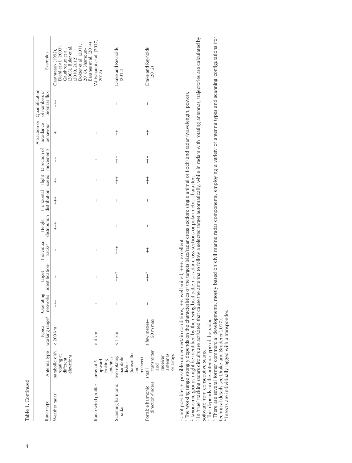| Examples<br>Attraction or Quantification<br>Horizontal Flight Direction of avoidance of numbers or<br>biomass flux<br>behaviour | Baranes et al. (2014)<br>Dokter et al. (2011<br>(2003), Buler et al.<br>Diehl et al. (2003),<br>2018), Shamoun-<br>Gauthreaux et al.<br>Gauthreaux (1992)<br>(2010, 2012)<br>$\begin{array}{c} + \\ + \\ + \end{array}$<br>$^{+}$ | Weisshaupt et al. (2017,<br>2018)<br>$\ddagger$<br>I | Drake and Reynolds<br>(2012)<br>$\overline{\phantom{a}}$<br>$\ddagger$  | Drake and Reynolds<br>(2012)<br>$\overline{\phantom{a}}$<br>$\ddagger$ |
|---------------------------------------------------------------------------------------------------------------------------------|-----------------------------------------------------------------------------------------------------------------------------------------------------------------------------------------------------------------------------------|------------------------------------------------------|-------------------------------------------------------------------------|------------------------------------------------------------------------|
|                                                                                                                                 | $\ddagger$                                                                                                                                                                                                                        | $^{+}$                                               | $+$                                                                     | $\begin{array}{c} + \\ + \\ + \end{array}$                             |
|                                                                                                                                 | $\ddagger$                                                                                                                                                                                                                        | I                                                    | $\frac{+}{+}$                                                           | $\begin{array}{c} + \\ + \\ + \end{array}$                             |
|                                                                                                                                 | $\begin{array}{c} + \\ + \\ + \end{array}$                                                                                                                                                                                        | $\mathbf{I}$                                         | $\overline{\phantom{a}}$                                                | $\overline{1}$                                                         |
| distribution distribution speed movements<br>Individual Height                                                                  | $\begin{array}{c} + \\ + \\ + \end{array}$                                                                                                                                                                                        | $^{+}$                                               | $\begin{array}{c} \end{array}$                                          | Ī                                                                      |
|                                                                                                                                 | $\overline{1}$                                                                                                                                                                                                                    | $\mathbf{I}$                                         | $+ +$                                                                   | $\ddagger$                                                             |
| Operating Target Individual<br>networks identification <sup>2</sup> tracks <sup>3</sup>                                         | $\overline{1}$                                                                                                                                                                                                                    | $\mathbf{I}$                                         | $+ + +$                                                                 | $+ + +$                                                                |
|                                                                                                                                 | $\begin{array}{c} + \\ + \\ + \end{array}$                                                                                                                                                                                        | $^{+}$                                               |                                                                         |                                                                        |
| Antenna type working range <sup>1</sup><br>Typical                                                                              |                                                                                                                                                                                                                                   | < 4 km                                               | $< 1$ km                                                                | 50 <sub>m</sub> max<br>a few metres-                                   |
|                                                                                                                                 | parabolic dish, $\sim$ 200 km rotating at<br>elevations<br>different                                                                                                                                                              | antennas<br>upward<br>looking<br>array of 5          | (transmitter<br>two rotating<br>parabolic<br>dishes<br>receiver)<br>and | transmitter<br>antennas<br>or arrays<br>receiver<br>and<br>small       |
| Radar type                                                                                                                      | Weather radar                                                                                                                                                                                                                     | Radar wind profiler                                  | Scanning harmonic<br>radar                                              | direction-finders<br>Portable harmonic                                 |

 $\frac{1}{10}$ –: not possible, +: possible under certain conditions, ++: well suited, +++: excellent. not po

1 The working range strongly depends on the characteristics of the targets (size/radar cross section; single animal or flock) and radar (wavelength, power).

2 Taxonomic groups might be identified by their wing beat patterns, radar cross sections or polarimetric characters.

' The working range strongly depends on the characteristics of the targets (size/radar cross section; single animal or flock) and radar (wavelength, power).<br><sup>2</sup> Taxonomic groups might be identified by their wing beat patte 3 In 'true' tracking radars circuits are activated that cause the antenna to follow a selected target automatically, while in radars with rotating antennas, trajectories are calculated by

software from consecutive scans. software from consecutive scans.

4 This depends on the antenna type of the radar.

souware noni-consecutive scans.<br>4 This depends on the antenna type of the radar.<br>5 There are several former commercial developments, mostly based on civil marine radar components, employing a variety of antenna types and s 5 There are several former commercial developments, mostly based on civil marine radar components, employing a variety of antenna types and scanning configurations (for technical details see Drake and Bruderer 2017).

<sup>6</sup> Insects are individually tagged with a transponder. 6 Insects are individually tagged with a transponder.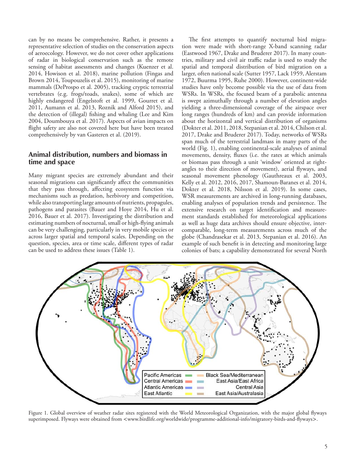can by no means be comprehensive. Rather, it presents a representative selection of studies on the conservation aspects of aeroecology. However, we do not cover other applications of radar in biological conservation such as the remote sensing of habitat assessments and changes (Kuenzer et al. 2014, Howison et al. 2018), marine pollution (Fingas and Brown 2014, Toupouzelis et al. 2015), monitoring of marine mammals (DeProspo et al. 2005), tracking cryptic terrestrial vertebrates (e.g. frogs/toads, snakes), some of which are highly endangered (Engelstoft et al. 1999, Gourret et al. 2011, Aumann et al. 2013, Roznik and Alford 2015), and the detection of (illegal) fishing and whaling (Lee and Kim 2004, Doumbouya et al. 2017). Aspects of avian impacts on flight safety are also not covered here but have been treated comprehensively by van Gasteren et al. (2019).

### **Animal distribution, numbers and biomass in time and space**

Many migrant species are extremely abundant and their seasonal migrations can significantly affect the communities that they pass through, affecting ecosystem function via mechanisms such as predation, herbivory and competition, while also transporting large amounts of nutrients, propagules, pathogens and parasites (Bauer and Hoye 2014, Hu et al. 2016, Bauer et al. 2017). Investigating the distribution and estimating numbers of nocturnal, small or high-flying animals can be very challenging, particularly in very mobile species or across larger spatial and temporal scales. Depending on the question, species, area or time scale, different types of radar can be used to address these issues (Table 1).

The first attempts to quantify nocturnal bird migration were made with short-range X-band scanning radar (Eastwood 1967, Drake and Bruderer 2017). In many countries, military and civil air traffic radar is used to study the spatial and temporal distribution of bird migration on a larger, often national scale (Sutter 1957, Lack 1959, Alerstam 1972, Buurma 1995, Ruhe 2000). However, continent-wide studies have only become possible via the use of data from WSRs. In WSRs, the focused beam of a parabolic antenna is swept azimuthally through a number of elevation angles yielding a three-dimensional coverage of the airspace over long ranges (hundreds of km) and can provide information about the horizontal and vertical distribution of organisms (Dokter et al. 2011, 2018, Stepanian et al. 2014, Chilson et al. 2017, Drake and Bruderer 2017). Today, networks of WSRs span much of the terrestrial landmass in many parts of the world (Fig. 1), enabling continental-scale analyses of animal movements, density, fluxes (i.e. the rates at which animals or biomass pass through a unit 'window' oriented at rightangles to their direction of movement), aerial flyways, and seasonal movement phenology (Gauthreaux et al. 2003, Kelly et al. 2012, 2016, 2017, Shamoun-Baranes et al. 2014, Dokter et al. 2018, Nilsson et al. 2019). In some cases, WSR measurements are archived in long-running databases, enabling analyses of population trends and persistence. The extensive research on target identification and measurement standards established for meteorological applications as well as huge data archives should ensure objective, intercomparable, long-term measurements across much of the globe (Chandrasekar et al. 2013, Stepanian et al. 2016). An example of such benefit is in detecting and monitoring large colonies of bats; a capability demonstrated for several North



Figure 1. Global overview of weather radar sites registered with the World Meteorological Organization, with the major global flyways superimposed. Flyways were obtained from <www.birdlife.org/worldwide/programme-additional-info/migratory-birds-and-flyways>.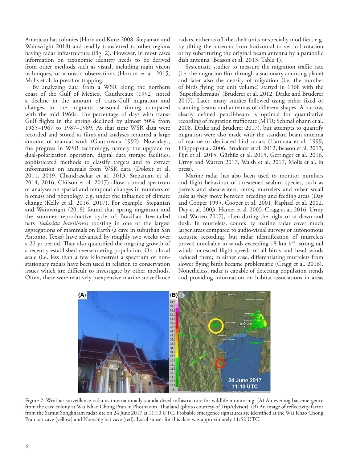American bat colonies (Horn and Kunz 2008, Stepanian and Wainwright 2018) and readily transferred to other regions having radar infrastructure (Fig. 2). However, in most cases information on taxonomic identity needs to be derived from other methods such as visual, including night vision techniques, or acoustic observations (Horton et al. 2015, Molis et al. in press) or trapping.

By analyzing data from a WSR along the northern coast of the Gulf of Mexico, Gauthreaux (1992) noted a decline in the amount of trans-Gulf migration and changes in the migrants' seasonal timing compared with the mid 1960s. The percentage of days with trans-Gulf flights in the spring declined by almost 50% from 1965–1967 to 1987–1989. At that time WSR data were recorded and stored as films and analyses required a large amount of manual work (Gauthreaux 1992). Nowadays, the progress in WSR technology, namely the upgrade to dual-polarization operation, digital data storage facilities, sophisticated methods to classify targets and to extract information on animals from WSR data (Dokter et al. 2011, 2019, Chandrasekar et al. 2013, Stepanian et al. 2014, 2016, Chilson et al. 2017) allow a broad spectrum of analyses on spatial and temporal changes in numbers or biomass and phenology, e.g. under the influence of climate change (Kelly et al. 2016, 2017). For example, Stepanian and Wainwright (2018) found that spring migration and the summer reproductive cycle of Brazilian free-tailed bats *Tadarida brasiliensis* roosting in one of the largest aggregations of mammals on Earth (a cave in suburban San Antonio, Texas) have advanced by roughly two weeks over a 22 yr period. They also quantified the ongoing growth of a recently established overwintering population. On a local scale (i.e. less than a few kilometres) a spectrum of nonstationary radars have been used in relation to conservation issues which are difficult to investigate by other methods. Often, these were relatively inexpensive marine surveillance

radars, either as off-the-shelf units or specially modified, e.g. by tilting the antenna from horizontal to vertical rotation or by substituting the original beam antenna by a parabolic dish antenna (Beason et al. 2013, Table 1).

Systematic studies to measure the migration traffic rate (i.e. the migration flux through a stationary counting plane) and later also the density of migration (i.e. the number of birds flying per unit volume) started in 1968 with the 'Superfledermaus' (Bruderer et al. 2012, Drake and Bruderer 2017). Later, many studies followed using either fixed or scanning beams and antennas of different shapes. A narrow, clearly defined pencil-beam is optimal for quantitative recording of migration traffic rate (MTR; Schmaljohann et al. 2008, Drake and Bruderer 2017), but attempts to quantify migration were also made with the standard beam antenna of marine or dedicated bird radars (Harmata et al. 1999, Hüppop et al. 2006, Bruderer et al. 2012, Beason et al. 2013, Fijn et al. 2015, Gürbüz et al. 2015, Gerringer et al. 2016, Urmy and Warren 2017, Walsh et al. 2017, Molis et al. in press).

Marine radar has also been used to monitor numbers and flight behaviour of threatened seabird species, such as petrels and shearwaters, terns, murrelets and other small auks as they move between breeding and feeding areas (Day and Cooper 1995, Cooper et al. 2001, Raphael et al. 2002, Day et al. 2003, Hamer et al. 2005, Cragg et al. 2016, Urmy and Warren 2017), often during the night or at dawn and dusk. In murrelets, counts by marine radar cover much larger areas compared to audio-visual surveys or autonomous acoustic recording, but radar identification of murrelets proved unreliable in winds exceeding 18 km h<sup>-1</sup>: strong tail winds increased flight speeds of all birds and head winds reduced them; in either case, differentiating murrelets from slower flying birds became problematic (Cragg et al. 2016). Nonetheless, radar is capable of detecting population trends and providing information on habitat associations in areas



Figure 2. Weather surveillance radar as internationally-standardized infrastructure for wildlife monitoring. (A) An evening bat emergence from the cave colony at Wat Khao Chong Pran in Photharam, Thailand (photo courtesy of TripAdvisor). (B) An image of reflectivity factor from the Samut Songkhram radar site on 24 June 2017 at 11:10 UTC. Probable emergence signatures are identified at the Wat Khao Chong Pran bat cave (yellow) and Nanyang bat cave (red). Local sunset for this date was approximately 11:52 UTC.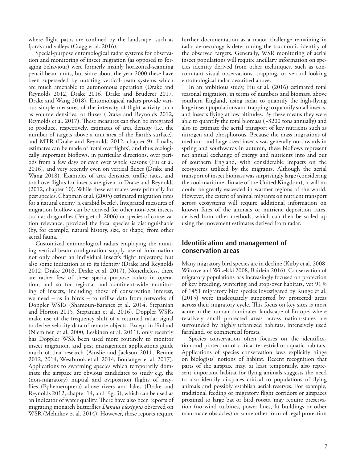where flight paths are confined by the landscape, such as fjords and valleys (Cragg et al. 2016).

Special-purpose entomological radar systems for observation and monitoring of insect migration (as opposed to foraging behaviour) were formerly mainly horizontal-scanning pencil-beam units, but since about the year 2000 these have been superseded by nutating vertical-beam systems which are much amenable to autonomous operation (Drake and Reynolds 2012, Drake 2016, Drake and Bruderer 2017, Drake and Wang 2018). Entomological radars provide various simple measures of the intensity of flight activity such as volume densities, or fluxes (Drake and Reynolds 2012, Reynolds et al. 2017). These measures can then be integrated to produce, respectively, estimates of area density (i.e. the number of targets above a unit area of the Earth's surface), and MTR (Drake and Reynolds 2012, chapter 9). Finally, estimates can be made of 'total overflights', and thus ecologically important bioflows, in particular directions, over periods from a few days or even over whole seasons (Hu et al. 2016), and very recently even on vertical fluxes (Drake and Wang 2018). Examples of area densities, traffic rates, and total overflights for insects are given in Drake and Reynolds (2012, chapter 10). While these estimates were primarily for pest species, Chapman et al. (2005) estimated migration rates for a natural enemy (a carabid beetle). Integrated measures of migration bioflow can be derived for other non-pest insects such as dragonflies (Feng et al. 2006) or species of conservation relevance, provided the focal species is distinguishable (by, for example, natural history, size, or shape) from other aerial fauna.

Customized entomological radars employing the nutating vertical-beam configuration supply useful information not only about an individual insect's flight trajectory, but also some indication as to its identity (Drake and Reynolds 2012, Drake 2016, Drake et al. 2017). Nonetheless, there are rather few of these special-purpose radars in operation, and so for regional and continent-wide monitoring of insects, including those of conservation interest, we need – as in birds – to utilise data from networks of Doppler WSRs (Shamoun-Baranes et al. 2014, Stepanian and Horton 2015, Stepanian et al. 2016). Doppler WSRs make use of the frequency shift of a returned radar signal to derive velocity data of remote objects. Except in Finland (Nieminen et al. 2000, Leskinen et al. 2011), only recently has Doppler WSR been used more routinely to monitor insect migration, and pest management applications guide much of that research (Ainslie and Jackson 2011, Rennie 2012, 2014, Westbrook et al. 2014, Boulanger et al. 2017). Applications to swarming species which temporarily dominate the airspace are obvious candidates to study e.g. the (non-migratory) nuptial and oviposition flights of mayflies (Ephemeroptera) above rivers and lakes (Drake and Reynolds 2012, chapter 14, and Fig. 3), which can be used as an indicator of water quality. There have also been reports of migrating monarch butterflies *Danaus plexippus* observed on WSR (Melnikov et al. 2014). However, these reports require

further documentation as a major challenge remaining in radar aeroecology is determining the taxonomic identity of the observed targets. Generally, WSR monitoring of aerial insect populations will require ancillary information on species identity derived from other techniques, such as concomitant visual observations, trapping, or vertical-looking entomological radar described above.

In an ambitious study, Hu et al. (2016) estimated total seasonal migration, in terms of numbers and biomass, above southern England, using radar to quantify the high-flying large insect populations and trapping to quantify small insects, and insects flying at low altitudes. By these means they were able to quantify the total biomass  $(\sim]3200$  tons annually) and also to estimate the aerial transport of key nutrients such as nitrogen and phosphorous. Because the mass migrations of medium- and large-sized insects was generally northwards in spring and southwards in autumn, these bioflows represent net annual exchange of energy and nutrients into and out of southern England, with considerable impacts on the ecosystems utilized by the migrants. Although the aerial transport of insect biomass was surprisingly large (considering the cool maritime climate of the United Kingdom), it will no doubt be greatly exceeded in warmer regions of the world. However, the extent of animal migrants on nutrient transport across ecosystems will require additional information on known fates of the animals or nutrient deposition rates, derived from other methods, which can then be scaled up using the movement estimates derived from radar.

### **Identification and management of conservation areas**

Many migratory bird species are in decline (Kirby et al. 2008, Wilcove and Wikelski 2008, Bairlein 2016). Conservation of migratory populations has increasingly focused on protection of key breeding, wintering and stop-over habitats, yet 91% of 1451 migratory bird species investigated by Runge et al. (2015) were inadequately supported by protected areas across their migratory cycle. This focus on key sites is most acute in the human-dominated landscape of Europe, where relatively small protected areas across nation-states are surrounded by highly urbanized habitats, intensively used farmland, or commercial forests.

Species conservation often focuses on the identification and protection of critical terrestrial or aquatic habitats. Applications of species conservation laws explicitly hinge on biologists' notions of habitat. Recent recognition that parts of the airspace may, at least temporarily, also represent important habitat for flying animals suggests the need to also identify airspaces critical to populations of flying animals and possibly establish aerial reserves. For example, traditional feeding or migratory flight corridors or airspaces proximal to large bat or bird roosts, may require preservation (no wind turbines, power lines, lit buildings or other man-made obstacles) or some other form of legal protection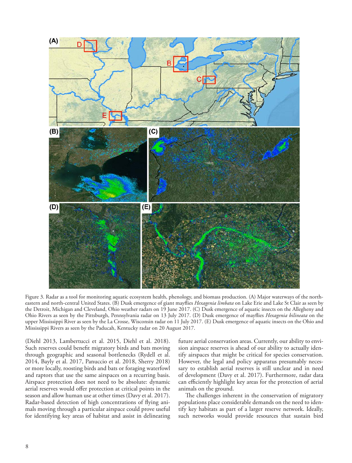

Figure 3. Radar as a tool for monitoring aquatic ecosystem health, phenology, and biomass production. (A) Major waterways of the northeastern and north-central United States. (B) Dusk emergence of giant mayflies *Hexagenia limbata* on Lake Erie and Lake St Clair as seen by the Detroit, Michigan and Cleveland, Ohio weather radars on 19 June 2017. (C) Dusk emergence of aquatic insects on the Allegheny and Ohio Rivers as seen by the Pittsburgh, Pennsylvania radar on 13 July 2017. (D) Dusk emergence of mayflies *Hexagenia bilineata* on the upper Mississippi River as seen by the La Crosse, Wisconsin radar on 11 July 2017. (E) Dusk emergence of aquatic insects on the Ohio and Mississippi Rivers as seen by the Paducah, Kentucky radar on 20 August 2017.

(Diehl 2013, Lambertucci et al. 2015, Diehl et al. 2018). Such reserves could benefit migratory birds and bats moving through geographic and seasonal bottlenecks (Rydell et al. 2014, Bayly et al. 2017, Panuccio et al. 2018, Sherry 2018) or more locally, roosting birds and bats or foraging waterfowl and raptors that use the same airspaces on a recurring basis. Airspace protection does not need to be absolute: dynamic aerial reserves would offer protection at critical points in the season and allow human use at other times (Davy et al. 2017). Radar-based detection of high concentrations of flying animals moving through a particular airspace could prove useful for identifying key areas of habitat and assist in delineating

future aerial conservation areas. Currently, our ability to envision airspace reserves is ahead of our ability to actually identify airspaces that might be critical for species conservation. However, the legal and policy apparatus presumably necessary to establish aerial reserves is still unclear and in need of development (Davy et al. 2017). Furthermore, radar data can efficiently highlight key areas for the protection of aerial animals on the ground.

The challenges inherent in the conservation of migratory populations place considerable demands on the need to identify key habitats as part of a larger reserve network. Ideally, such networks would provide resources that sustain bird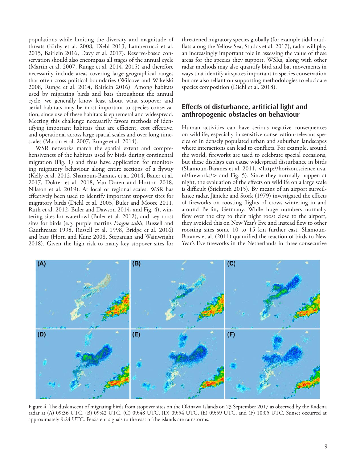populations while limiting the diversity and magnitude of threats (Kirby et al. 2008, Diehl 2013, Lambertucci et al. 2015, Bairlein 2016, Davy et al. 2017). Reserve-based conservation should also encompass all stages of the annual cycle (Martin et al. 2007, Runge et al. 2014, 2015) and therefore necessarily include areas covering large geographical ranges that often cross political boundaries (Wilcove and Wikelski 2008, Runge et al. 2014, Bairlein 2016). Among habitats used by migrating birds and bats throughout the annual cycle, we generally know least about what stopover and aerial habitats may be most important to species conservation, since use of these habitats is ephemeral and widespread. Meeting this challenge necessarily favors methods of identifying important habitats that are efficient, cost effective, and operational across large spatial scales and over long timescales (Martin et al. 2007, Runge et al. 2014).

WSR networks match the spatial extent and comprehensiveness of the habitats used by birds during continental migration (Fig. 1) and thus have application for monitoring migratory behaviour along entire sections of a flyway (Kelly et al. 2012, Shamoun-Baranes et al. 2014, Bauer et al. 2017, Dokter et al. 2018, Van Doren and Horton 2018, Nilsson et al. 2019). At local or regional scales, WSR has effectively been used to identify important stopover sites for migratory birds (Diehl et al. 2003, Buler and Moore 2011, Ruth et al. 2012, Buler and Dawson 2014, and Fig. 4), wintering sites for waterfowl (Buler et al. 2012), and key roost sites for birds (e.g. purple martins *Progne subis*; Russell and Gauthreaux 1998, Russell et al. 1998, Bridge et al. 2016) and bats (Horn and Kunz 2008, Stepanian and Wainwright 2018). Given the high risk to many key stopover sites for threatened migratory species globally (for example tidal mudflats along the Yellow Sea; Studds et al. 2017), radar will play an increasingly important role in assessing the value of these areas for the species they support. WSRs, along with other radar methods may also quantify bird and bat movements in ways that identify airspaces important to species conservation but are also reliant on supporting methodologies to elucidate species composition (Diehl et al. 2018).

### **Effects of disturbance, artificial light and anthropogenic obstacles on behaviour**

Human activities can have serious negative consequences on wildlife, especially in sensitive conservation-relevant species or in densely populated urban and suburban landscapes where interactions can lead to conflicts. For example, around the world, fireworks are used to celebrate special occasions, but these displays can cause widespread disturbance in birds (Shamoun-Baranes et al. 2011, <http://horizon.science.uva. nl/fireworks/> and Fig. 5). Since they normally happen at night, the evaluation of the effects on wildlife on a large scale is difficult (Stickroth 2015). By means of an airport surveillance radar, Jänicke and Stork (1979) investigated the effects of fireworks on roosting flights of crows wintering in and around Berlin, Germany. While huge numbers normally flew over the city to their night roost close to the airport, they avoided this on New Year's Eve and instead flew to other roosting sites some 10 to 15 km further east. Shamoun-Baranes et al. (2011) quantified the reaction of birds to New Year's Eve fireworks in the Netherlands in three consecutive



Figure 4. The dusk ascent of migrating birds from stopover sites on the Okinawa Islands on 23 September 2017 as observed by the Kadena radar at (A) 09:36 UTC, (B) 09:42 UTC, (C) 09:48 UTC, (D) 09:54 UTC, (E) 09:59 UTC, and (F) 10:05 UTC. Sunset occurred at approximately 9:24 UTC. Persistent signals to the east of the islands are rainstorms.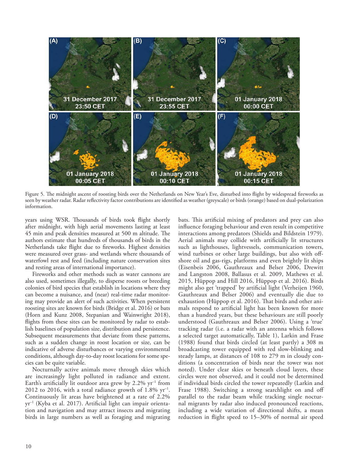

Figure 5. The midnight ascent of roosting birds over the Netherlands on New Year's Eve, disturbed into flight by widespread fireworks as seen by weather radar. Radar reflectivity factor contributions are identified as weather (greyscale) or birds (orange) based on dual-polarization information.

years using WSR. Thousands of birds took flight shortly after midnight, with high aerial movements lasting at least 45 min and peak densities measured at 500 m altitude. The authors estimate that hundreds of thousands of birds in the Netherlands take flight due to fireworks. Highest densities were measured over grass- and wetlands where thousands of waterfowl rest and feed (including nature conservation sites and resting areas of international importance).

Fireworks and other methods such as water cannons are also used, sometimes illegally, to disperse roosts or breeding colonies of bird species that establish in locations where they can become a nuisance, and (near) real-time radar monitoring may provide an alert of such activities. When persistent roosting sites are known for birds (Bridge et al. 2016) or bats (Horn and Kunz 2008, Stepanian and Wainwright 2018), flights from these sites can be monitored by radar to establish baselines of population size, distribution and persistence. Subsequent measurements that deviate from these patterns, such as a sudden change in roost location or size, can be indicative of adverse disturbances or varying environmental conditions, although day-to-day roost locations for some species can be quite variable.

Nocturnally active animals move through skies which are increasingly light polluted in radiance and extent. Earth's artificially lit outdoor area grew by  $2.2\%$  yr<sup>-1</sup> from 2012 to 2016, with a total radiance growth of  $1.8\%$  yr<sup>-1</sup>. Continuously lit areas have brightened at a rate of 2.2% yr–1 (Kyba et al. 2017). Artificial light can impair orientation and navigation and may attract insects and migrating birds in large numbers as well as foraging and migrating

bats. This artificial mixing of predators and prey can also influence foraging behaviour and even result in competitive interactions among predators (Shields and Bildstein 1979). Aerial animals may collide with artificially lit structures such as lighthouses, lightvessels, communication towers, wind turbines or other large buildings, but also with offshore oil and gas-rigs, platforms and even brightly lit ships (Eisenbeis 2006, Gauthreaux and Belser 2006, Drewitt and Langston 2008, Ballasus et al. 2009, Mathews et al. 2015, Hüppop and Hill 2016, Hüppop et al. 2016). Birds might also get 'trapped' by artificial light (Verheijen 1960, Gauthreaux and Belser 2006) and eventually die due to exhaustion (Hüppop et al. 2016). That birds and other animals respond to artificial light has been known for more than a hundred years, but these behaviours are still poorly understood (Gauthreaux and Belser 2006). Using a 'true' tracking radar (i.e. a radar with an antenna which follows a selected target automatically, Table 1), Larkin and Frase (1988) found that birds circled (at least partly) a 308 m broadcasting tower equipped with red slow-blinking and steady lamps, at distances of 108 to 279 m in cloudy conditions (a concentration of birds near the tower was not noted). Under clear skies or beneath cloud layers, these circles were not observed, and it could not be determined if individual birds circled the tower repeatedly (Larkin and Frase 1988). Switching a strong searchlight on and off parallel to the radar beam while tracking single nocturnal migrants by radar also induced pronounced reactions, including a wide variation of directional shifts, a mean reduction in flight speed to 15–30% of normal air speed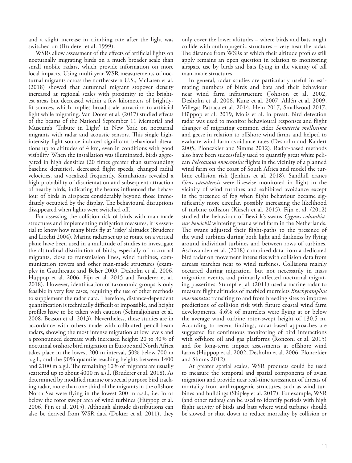and a slight increase in climbing rate after the light was switched on (Bruderer et al. 1999).

WSRs allow assessment of the effects of artificial lights on nocturnally migrating birds on a much broader scale than small mobile radars, which provide information on more local impacts. Using multi-year WSR measurements of nocturnal migrants across the northeastern U.S., McLaren et al. (2018) showed that autumnal migrant stopover density increased at regional scales with proximity to the brightest areas but decreased within a few kilometers of brightlylit sources, which implies broad-scale attraction to artificial light while migrating. Van Doren et al. (2017) studied effects of the beams of the National September 11 Memorial and Museum's 'Tribute in Light' in New York on nocturnal migrants with radar and acoustic sensors. This single highintensity light source induced significant behavioral alterations up to altitudes of 4 km, even in conditions with good visibility. When the installation was illuminated, birds aggregated in high densities (20 times greater than surrounding baseline densities), decreased flight speeds, changed radial velocities, and vocalized frequently. Simulations revealed a high probability of disorientation and subsequent attraction of nearby birds, indicating the beams influenced the behaviour of birds in airspaces considerably beyond those immediately occupied by the display. The behavioural disruptions disappeared when lights were switched off.

For assessing the collision risk of birds with man-made structures and implementing mitigation measures, it is essential to know how many birds fly at 'risky' altitudes (Bruderer and Liechti 2004). Marine radars set up to rotate on a vertical plane have been used in a multitude of studies to investigate the altitudinal distribution of birds, especially of nocturnal migrants, close to transmission lines, wind turbines, communication towers and other man-made structures (examples in Gauthreaux and Belser 2003, Desholm et al. 2006, Hüppop et al. 2006, Fijn et al. 2015 and Bruderer et al. 2018). However, identification of taxonomic groups is only feasible in very few cases, requiring the use of other methods to supplement the radar data. Therefore, distance-dependent quantification is technically difficult or impossible, and height profiles have to be taken with caution (Schmaljohann et al. 2008, Beason et al. 2013). Nevertheless, these studies are in accordance with others made with calibrated pencil-beam radars, showing the most intense migration at low levels and a pronounced decrease with increased height: 20 to 30% of nocturnal onshore bird migration in Europe and North Africa takes place in the lowest 200 m interval, 50% below 700 m a.g.l., and the 90% quantile reaching heights between 1400 and 2100 m a.g.l. The remaining 10% of migrants are usually scattered up to about 4000 m a.s.l. (Bruderer et al. 2018). As determined by modified marine or special purpose bird tracking radar, more than one third of the migrants in the offshore North Sea were flying in the lowest 200 m a.s.l., i.e. in or below the rotor swept area of wind turbines (Hüppop et al. 2006, Fijn et al. 2015). Although altitude distributions can also be derived from WSR data (Dokter et al. 2011), they

only cover the lower altitudes – where birds and bats might collide with anthropogenic structures – very near the radar. The distance from WSRs at which their altitude profiles still apply remains an open question in relation to monitoring airspace use by birds and bats flying in the vicinity of tall man-made structures.

In general, radar studies are particularly useful in estimating numbers of birds and bats and their behaviour near wind farm infrastructure (Johnson et al. 2002, Desholm et al. 2006, Kunz et al. 2007, Ahlén et al. 2009, Villegas-Patraca et al. 2014, Hein 2017, Smallwood 2017, Hüppop et al. 2019, Molis et al. in press). Bird detection radar was used to monitor behavioural responses and flight changes of migrating common eider *Somateria mollissima* and geese in relation to offshore wind farms and helped to evaluate wind farm avoidance rates (Desholm and Kahlert 2005, Plonczkier and Simms 2012). Radar-based methods also have been successfully used to quantify great white pelican *Pelecanous onocrotalus* flights in the vicinity of a planned wind farm on the coast of South Africa and model the turbine collision risk (Jenkins et al. 2018). Sandhill cranes *Grus canadensis* were likewise monitored in flight in the vicinity of wind turbines and exhibited avoidance except in the presence of fog when flight behaviour became significantly more circular, possibly increasing the likelihood of turbine collision (Kirsch et al. 2015). Fijn et al. (2012) studied the behaviour of Bewick's swans *Cygnus columbianus bewickii* wintering near a wind farm in the Netherlands. The swans adjusted their flight-paths to the presence of the wind turbines during both light and darkness by flying around individual turbines and between rows of turbines. Aschwanden et al. (2018) combined data from a dedicated bird radar on movement intensities with collision data from carcass searches near to wind turbines. Collisions mainly occurred during migration, but not necessarily in mass migration events, and primarily affected nocturnal migrating passerines. Stumpf et al. (2011) used a marine radar to measure flight altitudes of marbled murrelets *Brachyramphus marmoratus* transiting to and from breeding sites to improve predictions of collision risk with future coastal wind farm developments. 4.6% of murrelets were flying at or below the average wind turbine rotor-swept height of 130.5 m. According to recent findings, radar-based approaches are suggested for continuous monitoring of bird interactions with offshore oil and gas platforms (Ronconi et al. 2015) and for long-term impact assessments at offshore wind farms (Hüppop et al. 2002, Desholm et al. 2006, Plonczkier and Simms 2012).

At greater spatial scales, WSR products could be used to measure the temporal and spatial components of avian migration and provide near real-time assessment of threats of mortality from anthropogenic structures, such as wind turbines and buildings (Shipley et al. 2017). For example, WSR (and other radars) can be used to identify periods with high flight activity of birds and bats where wind turbines should be slowed or shut down to reduce mortality by collision or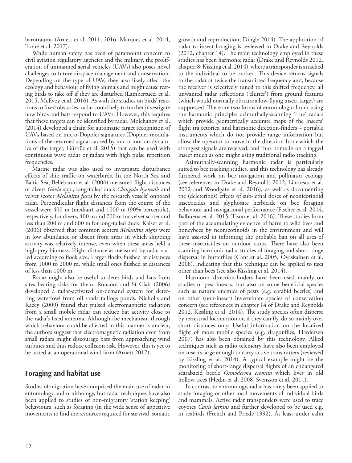barotrauma (Arnett et al. 2011, 2016, Marques et al. 2014, Tomé et al. 2017).

While human safety has been of paramount concern to civil aviation regulatory agencies and the military, the proliferation of unmanned aerial vehicles (UAVs) also poses novel challenges to future airspace management and conservation. Depending on the type of UAV, they also likely affect the ecology and behaviour of flying animals and might cause resting birds to take off if they are disturbed (Lambertucci et al. 2015, McEvoy et al. 2016). As with the studies on birds' reactions to fixed obstacles, radar could help to further investigate how birds and bats respond to UAVs. However, this requires that these targets can be identified by radar. Molchanov et al. (2014) developed a chain for automatic target recognition of UAVs based on micro-Doppler signatures (Doppler modulations of the returned signal caused by micro-motion dynamics of the target; Gürbüz et al. 2015) that can be used with continuous wave radar or radars with high pulse repetition frequencies.

Marine radar was also used to investigate disturbance effects of ship traffic on waterbirds. In the North Sea and Baltic Sea, Bellebaum et al. (2006) measured flight distances of divers *Gavia* spp., long-tailed duck *Clangula hyemalis* and velvet scoter *Melanitta fusca* by the research vessels' onboard radar. Perpendicular flight distances from the course of the vessel were 400 m (median) and 1000 m (90% percentile), respectively, for divers, 400 m and 700 m for velvet scoter and less than 200 m and 600 m for long-tailed duck. Kaiser et al. (2006) observed that common scoters *Melanitta nigra* were in low abundance or absent from areas in which shipping activity was relatively intense, even when these areas held a high prey biomass. Flight distance as measured by radar varied according to flock size. Larger flocks flushed at distances from 1000 to 2000 m, while small ones flushed at distances of less than 1000 m.

Radar might also be useful to deter birds and bats from sites bearing risks for them. Ronconi and St Clair (2006) developed a radar-activated on-demand system for deterring waterfowl from oil sands tailings ponds. Nicholls and Racey (2009) found that pulsed electromagnetic radiation from a small mobile radar can reduce bat activity close to the radar's fixed antenna. Although the mechanism through which behaviour could be affected in this manner is unclear, the authors suggest that electromagnetic radiation even from small radars might discourage bats from approaching wind turbines and thus reduce collision risk. However, this is yet to be tested at an operational wind farm (Arnett 2017).

### **Foraging and habitat use**

Studies of migration have comprised the main use of radar in entomology and ornithology, but radar techniques have also been applied to studies of non-migratory 'station keeping' behaviours, such as foraging (in the wide sense of appetitive movements to find the resources required for survival, somatic

growth and reproduction; Dingle 2014). The application of radar to insect foraging is reviewed in Drake and Reynolds (2012, chapter 14). The main technology employed in these studies has been harmonic radar (Drake and Reynolds 2012, chapter 8; Kissling et al. 2014), where a transponder is attached to the individual to be tracked. This device returns signals to the radar at twice the transmitted frequency and, because the receiver is selectively tuned to this shifted frequency, all unwanted radar reflections ('clutter') from ground features (which would normally obscure a low-flying insect target) are suppressed. There are two forms of entomological unit using the harmonic principle: azimuthally-scanning 'true' radars which provide geometrically accurate maps of the insects' flight trajectories, and harmonic direction-finders – portable instruments which do not provide range information but allow the operator to move in the direction from which the strongest signals are received, and thus home in on a tagged insect much as one might using traditional radio tracking.

Azimuthally-scanning harmonic radar is particularly suited to bee tracking studies, and this technology has already furthered work on bee navigation and pollinator ecology (see references in Drake and Reynolds 2012, Lihoreau et al. 2012 and Woodgate et al. 2016), as well as documenting the (deleterious) effects of sub-lethal doses of neonicotinoid insecticides and glyphosate herbicide on bee foraging behaviour and navigational performance (Fischer et al. 2014, Balbuena et al. 2015, Tison et al. 2016). These studies form part of the accumulating evidence of harm to wild bees and honeybees by neonicotinoids in the environment and will have assisted in informing the probable ban on all uses of these insecticides on outdoor crops. There have also been scanning harmonic radar studies of foraging and short-range dispersal in butterflies (Cant et al. 2005, Ovaskainen et al. 2008), indicating that this technique can be applied to taxa other than bees (see also Kissling et al. 2014).

Harmonic direction-finders have been used mainly on studies of pest insects, but also on some beneficial species such as natural enemies of pests (e.g. carabid beetles) and on other (non-insect) invertebrate species of conservation concern (see references in chapter 14 of Drake and Reynolds 2012, Kissling et al. 2014). The study species often disperse by terrestrial locomotion or, if they can fly, do so mainly over short distances only. Useful information on the localized flight of more mobile species (e.g. dragonflies; Hardersen 2007) has also been obtained by this technology. Allied techniques such as radio telemetry have also been employed on insects large enough to carry active transmitters (reviewed by Kissling et al. 2014). A typical example might be the monitoring of short-range dispersal flights of an endangered scarabaeid beetle *Osmoderma eremita* which lives in old hollow trees (Hedin et al. 2008, Svensson et al. 2011).

In contrast to entomology, radar has rarely been applied to study foraging or other local movements of individual birds and mammals. Active radar transponders were used to trace coyotes *Canis latrans* and further developed to be used e.g. in seabirds (French and Priede 1992). At least under calm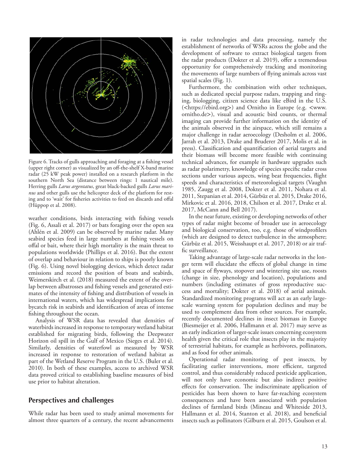

Figure 6. Tracks of gulls approaching and foraging at a fishing vessel (upper right corner) as visualized by an off-the-shelf X-band marine radar (25 kW peak power) installed on a research platform in the southern North Sea (distance between rings: 1 nautical mile). Herring gulls *Larus argentatus*, great black-backed gulls *Larus marinus* and other gulls use the helicopter deck of the platform for resting and to 'wait' for fisheries activities to feed on discards and offal (Hüppop et al. 2008).

weather conditions, birds interacting with fishing vessels (Fig. 6, Assali et al. 2017) or bats foraging over the open sea (Ahlén et al. 2009) can be observed by marine radar. Many seabird species feed in large numbers at fishing vessels on offal or bait, where their high mortality is the main threat to populations worldwide (Phillips et al. 2016). But the extent of overlap and behaviour in relation to ships is poorly known (Fig. 6). Using novel biologging devices, which detect radar emissions and record the position of boats and seabirds, Weimerskirch et al. (2018) measured the extent of the overlap between albatrosses and fishing vessels and generated estimates of the intensity of fishing and distribution of vessels in international waters, which has widespread implications for bycatch risk in seabirds and identification of areas of intense fishing throughout the ocean.

Analysis of WSR data has revealed that densities of waterbirds increased in response to temporary wetland habitat established for migrating birds, following the Deepwater Horizon oil spill in the Gulf of Mexico (Sieges et al. 2014). Similarly, densities of waterfowl as measured by WSR increased in response to restoration of wetland habitat as part of the Wetland Reserve Program in the U.S. (Buler et al. 2010). In both of these examples, access to archived WSR data proved critical to establishing baseline measures of bird use prior to habitat alteration.

### **Perspectives and challenges**

While radar has been used to study animal movements for almost three quarters of a century, the recent advancements in radar technologies and data processing, namely the establishment of networks of WSRs across the globe and the development of software to extract biological targets from the radar products (Dokter et al. 2019), offer a tremendous opportunity for comprehensively tracking and monitoring the movements of large numbers of flying animals across vast spatial scales (Fig. 1).

Furthermore, the combination with other techniques, such as dedicated special purpose radars, trapping and ringing, biologging, citizen science data like eBird in the U.S. (<https://ebird.org>) and Ornitho in Europe (e.g. <www. ornitho.de>), visual and acoustic bird counts, or thermal imaging can provide further information on the identity of the animals observed in the airspace, which still remains a major challenge in radar aeroecology (Desholm et al. 2006, Jarrah et al. 2013, Drake and Bruderer 2017, Molis et al. in press). Classification and quantification of aerial targets and their biomass will become more feasible with continuing technical advances, for example in hardware upgrades such as radar polarimetry, knowledge of species specific radar cross sections under various aspects, wing beat frequencies, flight speeds and characteristics of meteorological targets (Vaughn 1985, Zaugg et al. 2008, Dokter et al. 2011, Nohara et al. 2011, Stepanian et al. 2014, Gürbüz et al. 2015, Drake 2016, Mirkovic et al. 2016, 2018, Chilson et al. 2017, Drake et al. 2017, McCann and Bell 2017).

In the near future, existing or developing networks of other types of radar might become of broader use in aeroecology and biological conservation, too, e.g. those of windprofilers (which are designed to detect turbulence in the atmosphere; Gürbüz et al. 2015, Weisshaupt et al. 2017, 2018) or air traffic surveillance.

Taking advantage of large-scale radar networks in the longer term will elucidate the effects of global change in time and space of flyways, stopover and wintering site use, roosts (change in size, phenology and location), populations and numbers (including estimates of gross reproductive success and mortality; Dokter et al. 2018) of aerial animals. Standardized monitoring programs will act as an early largescale warning system for population declines and may be used to complement data from other sources. For example, recently documented declines in insect biomass in Europe (Biesmeijer et al. 2006, Hallmann et al. 2017) may serve as an early indication of larger-scale issues concerning ecosystem health given the critical role that insects play in the majority of terrestrial habitats, for example as herbivores, pollinators, and as food for other animals.

Operational radar monitoring of pest insects, by facilitating earlier interventions, more efficient, targeted control, and thus considerably reduced pesticide application, will not only have economic but also indirect positive effects for conservation. The indiscriminate application of pesticides has been shown to have far-reaching ecosystem consequences and have been associated with population declines of farmland birds (Mineau and Whiteside 2013, Hallmann et al. 2014, Stanton et al. 2018), and beneficial insects such as pollinators (Gilburn et al. 2015, Goulson et al.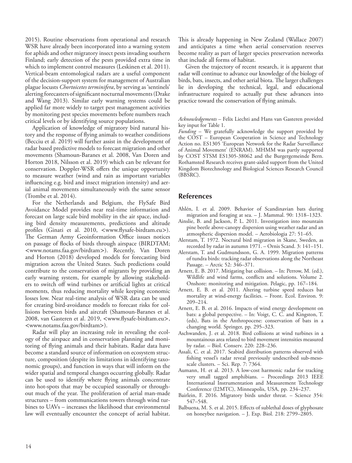2015). Routine observations from operational and research WSR have already been incorporated into a warning system for aphids and other migratory insect pests invading southern Finland; early detection of the pests provided extra time in which to implement control measures (Leskinen et al. 2011). Vertical-beam entomological radars are a useful component of the decision-support system for management of Australian plague locusts *Chortoicetes terminifera*, by serving as 'sentinels' alerting forecasters of significant nocturnal movements (Drake and Wang 2013). Similar early warning systems could be applied far more widely to target pest management activities by monitoring pest species movements before numbers reach critical levels or by identifying source populations.

Application of knowledge of migratory bird natural history and the response of flying animals to weather conditions (Becciu et al. 2019) will further assist in the development of radar based predictive models to forecast migration and other movements (Shamoun-Baranes et al. 2008, Van Doren and Horton 2018, Nilsson et al. 2019) which can be relevant for conservation. Doppler-WSR offers the unique opportunity to measure weather (wind and rain as important variables influencing e.g. bird and insect migration intensity) and aerial animal movements simultaneously with the same sensor (Trombe et al. 2014).

For the Netherlands and Belgium, the FlySafe Bird Avoidance Model provides near real-time information and forecast on large scale bird mobility in the air space, including bird density measurements, predictions and altitude profiles (Ginati et al. 2010, <www.flysafe-birdtam.eu>). The German Army Geoinformation Office issues notices on passage of flocks of birds through airspace (BIRDTAM; <www.notams.faa.gov/birdtam>). Recently, Van Doren and Horton (2018) developed models for forecasting bird migration across the United States. Such predictions could contribute to the conservation of migrants by providing an early warning system, for example by allowing stakeholders to switch off wind turbines or artificial lights at critical moments, thus reducing mortality while keeping economic losses low. Near real-time analysis of WSR data can be used for creating bird-avoidance models to forecast risks for collisions between birds and aircraft (Shamoun-Baranes et al. 2008, van Gasteren et al. 2019, <www.flysafe-birdtam.eu>, <www.notams.faa.gov/birdtam>).

Radar will play an increasing role in revealing the ecology of the airspace and in conservation planning and monitoring of flying animals and their habitats. Radar data have become a standard source of information on ecosystem structure, composition (despite its limitations in identifying taxonomic groups), and function in ways that will inform on the wider spatial and temporal changes occurring globally. Radar can be used to identify where flying animals concentrate into hot-spots that may be occupied seasonally or throughout much of the year. The proliferation of aerial man-made structures – from communications towers through wind turbines to UAVs – increases the likelihood that environmental law will eventually encounter the concept of aerial habitat.

This is already happening in New Zealand (Wallace 2007) and anticipates a time when aerial conservation reserves become reality as part of larger species preservation networks that include all forms of habitat.

Given the trajectory of recent research, it is apparent that radar will continue to advance our knowledge of the biology of birds, bats, insects, and other aerial biota. The larger challenges lie in developing the technical, legal, and educational infrastructure required to actually put these advances into practice toward the conservation of flying animals.

*Acknowledgements* – Felix Liechti and Hans van Gasteren provided key input for Table 1.

*Funding* – We gratefully acknowledge the support provided by the COST – European Cooperation in Science and Technology Action no. ES1305 'European Network for the Radar Surveillance of Animal Movement' (ENRAM). MHMM was partly supported by COST STSM ES1305-38062 and the Burgergemeinde Bern. Rothamsted Research receives grant-aided support from the United Kingdom Biotechnology and Biological Sciences Research Council (BBSRC).

### **References**

- Ahlén, I. et al. 2009. Behavior of Scandinavian bats during migration and foraging at sea. – J. Mammal. 90: 1318–1323.
- Ainslie, B. and Jackson, P. L. 2011. Investigation into mountain pine beetle above-canopy dispersion using weather radar and an atmospheric dispersion model. – Aerobiologia 27: 51–65.
- Alerstam, T. 1972. Noctural bird migration in Skane, Sweden, as recorded by radar in autumn 1971. – Ornis Scand. 3: 141–151.
- Alerstam, T. and Gudmundsson, G. A. 1999. Migration patterns of tundra birds: tracking radar observations along the Northeast Passage. – Arctic 52: 346–371.
- Arnett, E. B. 2017. Mitigating bat collision. In: Perrow, M. (ed.), Wildlife and wind farms, conflicts and solutions. Volume 2. Onshore: monitoring and mitigation. Pelagic, pp. 167–184.
- Arnett, E. B. et al. 2011. Altering turbine speed reduces bat mortality at wind-energy facilities. – Front. Ecol. Environ. 9: 209–214.
- Arnett, E. B. et al. 2016. Impacts of wind energy development on bats: a global perspective. – In: Voigt, C. C. and Kingston, T. (eds), Bats in the Anthropocene: conservation of bats in a changing world. Springer, pp. 295–323.
- Aschwanden, J. et al. 2018. Bird collisions at wind turbines in a mountainous area related to bird movement intensities measured by radar. – Biol. Conserv. 220: 228–236.
- Assali, C. et al. 2017. Seabird distribution patterns observed with fishing vessel's radar reveal previously undescribed sub-mesoscale clusters. – Sci. Rep. 7: 7364.
- Aumann, H. et al. 2013. A low-cost harmonic radar for tracking very small tagged amphibians. – Proceedings 2013 IEEE International Instrumentation and Measurement Technology Conference (I2MTC), Minneapolis, USA, pp. 234–237.
- Bairlein, F. 2016. Migratory birds under threat. Science 354: 547–548.
- Balbuena, M. S. et al. 2015. Effects of sublethal doses of glyphosate on honeybee navigation. – J. Exp. Biol. 218: 2799–2805.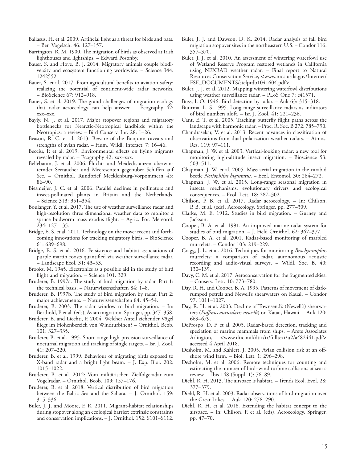- Ballasus, H. et al. 2009. Artificial light as a threat for birds and bats. – Ber. Vogelsch. 46: 127–157.
- Barrington, R. M. 1900. The migration of birds as observed at Irish lighthouses and lightships. – Edward Posonby.
- Bauer, S. and Hoye, B. J. 2014. Migratory animals couple biodiversity and ecosystem functioning worldwide. – Science 344: 1242552.
- Bauer, S. et al. 2017. From agricultural benefits to aviation safety: realizing the potential of continent-wide radar networks. – BioScience 67: 912–918.
- Bauer, S. et al. 2019. The grand challenges of migration ecology that radar aeroecology can help answer. – Ecography 42: xxx–xxx.
- Bayly, N. J. et al. 2017. Major stopover regions and migratory bottlenecks for Nearctic-Neotropical landbirds within the Neotropics: a review. – Bird Conserv. Int. 28: 1–26.
- Beason, R. C. et al. 2013. Beware of the Boojum: caveats and strengths of avian radar. – Hum. Wildl. Interact. 7: 16–46.
- Becciu, P. et al. 2019. Environmental effects on flying migrants revealed by radar. – Ecography 42: xxx–xxx.
- Bellebaum, J. et al. 2006. Flucht- und Meidedistanzen überwinternder Seetaucher und Meeresenten gegenüber Schiffen auf See. – Ornithol. Rundbrief Mecklenburg-Vorpommern 45: 86–90.
- Biesmeijer, J. C. et al. 2006. Parallel declines in pollinators and insect-pollinated plants in Britain and the Netherlands. – Science 313: 351–354.
- Boulanger, Y. et al. 2017. The use of weather surveillance radar and high-resolution three dimensional weather data to monitor a spruce budworm mass exodus flight. – Agric. For. Meteorol. 234: 127–135.
- Bridge, E. S. et al. 2011. Technology on the move: recent and forthcoming innovations for tracking migratory birds. – BioScience 61: 689–698.
- Bridge, E. S. et al. 2016. Persistence and habitat associations of purple martin roosts quantified via weather surveillance radar. – Landscape Ecol. 31: 43–53.
- Brooks, M. 1945. Electronics as a possible aid in the study of bird flight and migration. – Science 101: 329.
- Bruderer, B. 1997a. The study of bird migration by radar. Part 1: the technical basis. – Naturwissenschaften 84: 1–8.
- Bruderer, B. 1997b. The study of bird migration by radar. Part 2: major achievements. – Naturwissenschaften 84: 45–54.
- Bruderer, B. 2003. The radar window to bird migration. In: Berthold, P. et al. (eds), Avian migration. Springer, pp. 347–358.
- Bruderer, B. and Liechti, F. 2004. Welcher Anteil ziehender Vögel fliegt im Höhenbereich von Windturbinen? – Ornithol. Beob. 101: 327–335.
- Bruderer, B. et al. 1995. Short-range high-precision surveillance of nocturnal migration and tracking of single targets. – Isr. J. Zool. 41: 207–220.
- Bruderer, B. et al. 1999. Behaviour of migrating birds exposed to X-band radar and a bright light beam. – J. Exp. Biol. 202: 1015–1022.
- Bruderer, B. et al. 2012: Vom militärischen Zielfolgeradar zum Vogelradar. – Ornithol. Beob. 109: 157–176.
- Bruderer, B. et al. 2018. Vertical distribution of bird migration between the Baltic Sea and the Sahara. – J. Ornithol. 159: 315–336.
- Buler, J. J. and Moore, F. R. 2011. Migrant-habitat relationships during stopover along an ecological barrier: extrinsic constraints and conservation implications. – J. Ornithol. 152: S101–S112.
- Buler, J. J. and Dawson, D. K. 2014. Radar analysis of fall bird migration stopover sites in the northeastern U.S. – Condor 116: 357–370.
- Buler, J. J. et al. 2010. An assessment of wintering waterfowl use of Wetland Reserve Program restored wetlands in California using NEXRAD weather radar. – Final report to Natural Resources Conservation Service, <www.nrcs.usda.gov/Internet/ FSE\_DOCUMENTS/stelprdb1041604.pdf>.
- Buler, J. J. et al. 2012. Mapping wintering waterfowl distributions using weather surveillance radar. – PLoS One 7: e41571.
- Buss, I. O. 1946. Bird detection by radar. Auk 63: 315–318.
- Buurma, L. S. 1995. Long-range surveillance radars as indicators of bird numbers aloft. – Isr. J. Zool. 41: 221–236.
- Cant, E. T. et al. 2005. Tracking butterfly flight paths across the landscape with harmonic radar. – Proc. R. Soc. B 272: 785–790.
- Chandrasekar, V. et al. 2013. Recent advances in classification of observations from dual polarization weather radars. – Atmos. Res. 119: 97–111.
- Chapman, J. W. et al. 2003. Vertical-looking radar: a new tool for monitoring high-altitude insect migration. – Bioscience 53: 503–511.
- Chapman, J. W. et al. 2005. Mass aerial migration in the carabid beetle *Notiophilus biguttatus*. – Ecol. Entomol. 30: 264–272.
- Chapman, J. W. et al. 2015. Long-range seasonal migration in insects: mechanisms, evolutionary drivers and ecological consequences. – Ecol. Lett. 18: 287–302.
- Chilson, P. B. et al. 2017. Radar aeroecology. In: Chilson, P. B. et al. (eds), Aeroecology. Springer, pp. 277–309.
- Clarke, M. E. 1912. Studies in bird migration. Gurney and Jackson.
- Cooper, B. A. et al. 1991. An improved marine radar system for studies of bird migration. – J. Field Ornithol. 62: 367–377.
- Cooper, B. A. et al. 2001. Radar-based monitoring of marbled murrelets. – Condor 103: 219–229.
- Cragg, J. L. et al. 2016. Techniques for monitoring *Brachyramphus* murrelets: a comparison of radar, autonomous acoustic recording and audio-visual surveys. – Wildl. Soc. B. 40: 130–139.
- Davy, C. M. et al. 2017. Aeroconservation for the fragmented skies. – Conserv. Lett. 10: 773–780.
- Day, R. H. and Cooper, B. A. 1995. Patterns of movement of darkrumped petrels and Newell's shearwaters on Kauai. – Condor 97: 1011–1027.
- Day, R. H. et al. 2003. Decline of Townsend's (Newell's) shearwaters (*Puffinus auricularis newelli*) on Kauai, Hawaii. – Auk 120: 669–679.
- DeProspo, D. F. et al. 2005. Radar-based detection, tracking and speciation of marine mammals from ships. – Arete Associates Arlington, <www.dtic.mil/dtic/tr/fulltext/u2/a482441.pdf> accessed 4 April 2018.
- Desholm, M. and Kahlert, J. 2005. Avian collision risk at an offshore wind farm. – Biol. Lett. 1: 296–298.
- Desholm, M. et al. 2006. Remote techniques for counting and estimating the number of bird–wind turbine collisions at sea: a review. – Ibis 148 (Suppl. 1): 76–89.
- Diehl, R. H. 2013. The airspace is habitat. Trends Ecol. Evol. 28: 377–379.
- Diehl, R. H. et al. 2003. Radar observations of bird migration over the Great Lakes. – Auk 120: 278–290.
- Diehl, R. H. et al. 2018. Extending the habitat concept to the airspace. – In: Chilson, P. et al. (eds), Aeroecology. Springer, pp. 47–70.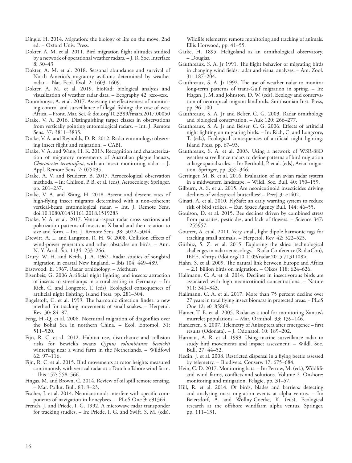- Dingle, H. 2014. Migration: the biology of life on the move, 2nd ed. – Oxford Univ. Press.
- Dokter, A. M. et al. 2011. Bird migration flight altitudes studied by a network of operational weather radars. – J. R. Soc. Interface 8: 30–43
- Dokter, A. M. et al. 2018. Seasonal abundance and survival of North America's migratory avifauna determined by weather radar. – Nat. Ecol. Evol. 2: 1603–1609.
- Dokter, A. M. et al. 2019. bioRad: biological analysis and visualization of weather radar data. – Ecography 42: xxx–xxx.
- Doumbouya, A. et al. 2017. Assessing the effectiveness of monitoring control and surveillance of illegal fishing: the case of west Africa. – Front. Mar. Sci. 4: doi.org/10.3389/fmars.2017.00050
- Drake, V. A. 2016. Distinguishing target classes in observations from vertically pointing entomological radars. – Int. J. Remote Sens. 37: 3811–3835.
- Drake, V. A. and Reynolds, D. R. 2012. Radar entomology: observing insect flight and migration. – CABI.
- Drake, V. A. and Wang, H. K. 2013. Recognition and characterization of migratory movements of Australian plague locusts, *Chortoicetes terminifera*, with an insect monitoring radar. – J. Appl. Remote Sens. 7: 075095.
- Drake, A. V. and Bruderer, B. 2017. Aeroecological observation methods. – In: Chilson, P. B. et al. (eds), Aeroecology. Springer, pp. 201–237.
- Drake, V. A. and Wang, H. 2018. Ascent and descent rates of high-flying insect migrants determined with a non-coherent vertical-beam entomological radar. – Int. J. Remote Sens. doi:10.1080/01431161.2018.1519283
- Drake, V. A. et al. 2017. Ventral-aspect radar cross sections and polarization patterns of insects at X band and their relation to size and form. – Int. J. Remote Sens. 38: 5022–5044.
- Drewitt, A. L. and Langston, R. H. W. 2008. Collision effects of wind-power generators and other obstacles on birds. – Ann. N. Y. Acad. Sci. 1134: 233–266.
- Drury, W. H. and Keith, J. A. 1962. Radar studies of songbird migration in coastal New England. – Ibis 104: 449–489.
- Eastwood, E. 1967. Radar ornithology. Methuen
- Eisenbeis, G. 2006 Artificial night lighting and insects: attraction of insects to streetlamps in a rural setting in Germany. – In: Rich, C. and Longcore, T. (eds), Ecological consequences of artificial night lighting. Island Press, pp. 281–304.
- Engelstoft, C. et al. 1999. The harmonic direction finder: a new method for tracking movements of small snakes. – Herpetol. Rev. 30: 84–87.
- Feng, H.-Q. et al. 2006. Nocturnal migration of dragonflies over the Bohai Sea in northern China. – Ecol. Entomol. 31: 511–520.
- Fijn, R. C. et al. 2012. Habitat use, disturbance and collision risks for Bewick's swans *Cygnus columbianus bewickii* wintering near a wind farm in the Netherlands. – Wildfowl 62: 97–116.
- Fijn, R. C. et al. 2015. Bird movements at rotor heights measured continuously with vertical radar at a Dutch offshore wind farm. – Ibis 157: 558–566.
- Fingas, M. and Brown, C. 2014. Review of oil spill remote sensing. – Mar. Pollut. Bull. 83: 9–23.
- Fischer, J. et al. 2014. Neonicotinoids interfere with specific components of navigation in honeybees. – PLoS One 9: e91364.
- French, J. and Priede, I. G. 1992. A microwave radar transponder for tracking studies. – In: Priede, I. G. and Swift, S. M. (eds),

Wildlife telemetry: remote monitoring and tracking of animals. Ellis Horwood, pp. 41–55.

- Gätke, H. 1895. Heligoland as an ornithological observatory. – Douglas.
- Gauthreaux, S. A. Jr 1991. The flight behavior of migrating birds in changing wind fields: radar and visual analyses. – Am. Zool. 31: 187–204.
- Gauthreaux, S. A. Jr 1992. The use of weather radar to monitor long-term patterns of trans-Gulf migration in spring. – In: Hagan, J. M. and Johnston, D. W. (eds), Ecology and conservation of neotropical migrant landbirds. Smithsonian Inst. Press, pp. 96–100.
- Gauthreaux, S. A. Jr and Belser, C. G. 2003. Radar ornithology and biological conservation. – Auk 120: 266–277.
- Gauthreaux, S. A. Jr and Belser, C. G. 2006. Effects of artificial night lighting on migrating birds. – In: Rich, C. and Longcore, T. (eds), Ecological consequences of artificial night lighting. Island Press, pp. 67–93.
- Gauthreaux, S. A. et al. 2003. Using a network of WSR-88D weather surveillance radars to define patterns of bird migration at large spatial scales. – In: Berthold, P. et al. (eds), Avian migration. Springer, pp. 335–346.
- Gerringer, M. B. et al. 2016. Evaluation of an avian radar system in a midwestern landscape. – Wildl. Soc. Bull. 40: 150–159.
- Gilburn, A. S. et al. 2015. Are neonicotinoid insecticides driving declines of widespread butterflies? – PeerJ 3: e1402.
- Ginati, A. et al. 2010. FlySafe: an early warning system to reduce risk of bird strikes. – Eur. Space Agency Bull. 144: 46–55.
- Goulson, D. et al. 2015. Bee declines driven by combined stress from parasites, pesticides, and lack of flowers. – Science 347: 1255957.
- Gourret, A. et al. 2011. Very small, light dipole harmonic tags for tracking small animals. – Herpetol. Rev. 42: 522–525.
- Gürbüz, S. Z. et al. 2015. Exploring the skies: technological challenges in radar aeroecology. – Radar Conference (RadarCon), IEEE, <https://doi.org/10.1109/radar.2015.7131108>.
- Hahn, S. et al. 2009. The natural link between Europe and Africa – 2.1 billion birds on migration. – Oikos 118: 624–626.
- Hallmann, C. A. et al. 2014. Declines in insectivorous birds are associated with high neonicotinoid concentrations. – Nature 511: 341–343.
- Hallmann, C. A. et al. 2017. More than 75 percent decline over 27 years in total flying insect biomass in protected areas. – PLoS One 12: e0185809.
- Hamer, T. E. et al. 2005. Radar as a tool for monitoring Xantus's murrelet populations. – Mar. Ornithol. 33: 139–146.
- Hardersen, S. 2007. Telemetry of Anisoptera after emergence first results (Odonata). – J. Odonatol. 10: 189–202.
- Harmata, A. R. et al. 1999. Using marine surveillance radar to study bird movements and impact assessment. – Wildl. Soc. Bull. 27: 44–52.
- Hedin, J. et al. 2008. Restricted dispersal in a flying beetle assessed by telemetry. – Biodivers. Conserv. 17: 675–684.
- Hein, C. D. 2017. Monitoring bats. In: Perrow, M. (ed.), Wildlife and wind farms, conflicts and solutions. Volume 2. Onshore: monitoring and mitigation. Pelagic, pp. 31–57.
- Hill, R. et al. 2014. Of birds, blades and barriers: detecting and analysing mass migration events at alpha ventus. – In: Beiersdorf, A. and Wollny-Goerke, K. (eds), Ecological research at the offshore windfarm alpha ventus. Springer, pp. 111–131.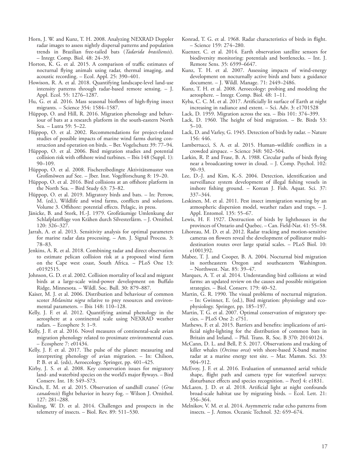- Horn, J. W. and Kunz, T. H. 2008. Analyzing NEXRAD Doppler radar images to assess nightly dispersal patterns and population trends in Brazilian free-tailed bats (*Tadarida brasiliensis*). – Integr. Comp. Biol. 48: 24–39.
- Horton, K. G. et al. 2015. A comparison of traffic estimates of nocturnal flying animals using radar, thermal imaging, and acoustic recording. – Ecol. Appl. 25: 390–401.
- Howison, R. A. et al. 2018. Quantifying landscape-level land-use intensity patterns through radar-based remote sensing. – J. Appl. Ecol. 55: 1276–1287.
- Hu, G. et al. 2016. Mass seasonal bioflows of high-flying insect migrants. – Science 354: 1584–1587.
- Hüppop, O. and Hill, R. 2016. Migration phenology and behaviour of bats at a research platform in the south-eastern North Sea. – Lutra 59: 5–22.
- Hüppop, O. et al. 2002. Recommendations for project-related studies of possible impacts of marine wind farms during construction and operation on birds. – Ber. Vogelschutz 39: 77–94.
- Hüppop, O. et al. 2006. Bird migration studies and potential collision risk with offshore wind turbines. – Ibis 148 (Suppl. 1): 90–109.
- Hüppop, O. et al. 2008. Fischereibedingte Aktivitätsmuster von Großmöwen auf See. – Jber. Inst. Vogelforschung 8: 19–20.
- Hüppop, O. et al. 2016. Bird collisions at an offshore platform in the North Sea. – Bird Study 63: 73–82.
- Hüppop, O. et al. 2019. Migratory birds and bats. In: Perrow, M. (ed.), Wildlife and wind farms, conflicts and solutions. Volume 3. Offshore: potential effects. Pelagic, in press.
- Jänicke, B. and Stork, H.-J. 1979. Großräumige Umlenkung der Schlafplatzflüge von Krähen durch Silvesterlärm. – J. Ornithol. 120: 326–327.
- Jarrah, A. et al. 2013. Sensitivity analysis for optimal parameters for marine radar data processing. – Am. J. Signal Process. 3: 78–83.
- Jenkins, A. R. et al. 2018. Combining radar and direct observation to estimate pelican collision risk at a proposed wind farm on the Cape west coast, South Africa. – PLoS One 13: e0192515.
- Johnson, G. D. et al. 2002. Collision mortality of local and migrant birds at a large-scale wind-power development on Buffalo Ridge, Minnesota. – Wildl. Soc. Bull. 30: 879–887.
- Kaiser, M. J. et al. 2006. Distribution and behaviour of common scoter *Melanitta nigra* relative to prey resources and environmental parameters. – Ibis 148: 110–128.
- Kelly, J. F. et al. 2012. Quantifying animal phenology in the aerosphere at a continental scale using NEXRAD weather radars. – Ecosphere 3: 1–9.
- Kelly, J. F. et al. 2016. Novel measures of continental-scale avian migration phenology related to proximate environmental cues. – Ecosphere 7: e01434.
- Kelly, J. F. et al. 2017. The pulse of the planet: measuring and interpreting phenology of avian migration. – In: Chilson, P. B. et al. (eds), Aeroecology. Springer, pp. 401–425.
- Kirby, J. S. et al. 2008. Key conservation issues for migratory land- and waterbird species on the world's major flyways. – Bird Conserv. Int. 18: S49–S73.
- Kirsch, E. M. et al. 2015. Observation of sandhill cranes' (*Grus canadensis*) flight behavior in heavy fog. – Wilson J. Ornithol. 127: 281–288.
- Kissling, W. D. et al. 2014. Challenges and prospects in the telemetry of insects. – Biol. Rev. 89: 511–530.
- Konrad, T. G. et al. 1968. Radar characteristics of birds in flight. – Science 159: 274–280.
- Kuenzer, C. et al. 2014. Earth observation satellite sensors for biodiversity monitoring: potentials and bottlenecks. – Int. J. Remote Sens. 35: 6599–6647.
- Kunz, T. H. et al. 2007. Assessing impacts of wind-energy development on nocturnally active birds and bats: a guidance document. – J. Wildl. Manage. 71: 2449–2486.
- Kunz, T. H. et al. 2008. Aeroecology: probing and modeling the aerosphere. – Integr. Comp. Biol. 48: 1–11.
- Kyba, C. C. M. et al. 2017. Artificially lit surface of Earth at night increasing in radiance and extent. – Sci. Adv. 3: e1701528
- Lack, D. 1959. Migration across the sea. Ibis 101: 374–399.
- Lack, D. 1960. The height of bird migration. Br. Birds 53: 5–10.
- Lack, D. and Varley, G. 1945. Detection of birds by radar. Nature 156: 446.
- Lambertucci, S. A. et al. 2015. Human–wildlife conflicts in a crowded airspace. – Science 348: 502–504.
- Larkin, R. P. and Frase, B. A. 1988. Circular paths of birds flying near a broadcasting tower in cloud. – J. Comp. Psychol. 102: 90–93.
- Lee, D.-J. and Kim, K.-S. 2004. Detection, identification and surveillance system development of illegal fishing vessels in inshore fishing ground. – Korean J. Fish. Aquat. Sci. 37: 337–344.
- Leskinen, M. et al. 2011. Pest insect immigration warning by an atmospheric dispersion model, weather radars and traps. – J. Appl. Entomol. 135: 55–67.
- Lewis, H. F. 1927. Destruction of birds by lighthouses in the provinces of Ontario and Quebec. – Can. Field-Nat. 41: 55–58.
- Lihoreau, M. D. et al. 2012. Radar tracking and motion-sensitive cameras on flowers reveal the development of pollinator multidestination routes over large spatial scales. – PLoS Biol. 10: e1001392.
- Mabee, T. J. and Cooper, B. A. 2004. Nocturnal bird migration in northeastern Oregon and southeastern Washington. – Northwest. Nat. 85: 39–47.
- Marques, A. T. et al. 2014. Understanding bird collisions at wind farms: an updated review on the causes and possible mitigation strategies. – Biol. Conserv. 179: 40–52.
- Martin, G. R. 1990. The visual problems of nocturnal migration. – In: Gwinner, E. (ed.), Bird migration: physiology and ecophysiology. Springer, pp. 185–197.
- Martin, T. G. et al. 2007. Optimal conservation of migratory species. – PLoS One 2: e751.
- Mathews, F. et al. 2015. Barriers and benefits: implications of artificial night-lighting for the distribution of common bats in Britain and Ireland. – Phil. Trans. R. Soc. B 370: 20140124.
- McCann, D. L. and Bell, P. S. 2017. Observations and tracking of killer whales (*Orcinus orca*) with shore-based X-band marine radar at a marine energy test site. – Mar. Mamm. Sci. 33: 904–912.
- McEvoy, J. F. et al. 2016. Evaluation of unmanned aerial vehicle shape, flight path and camera type for waterfowl surveys: disturbance effects and species recognition. – PeerJ 4: e1831.
- McLaren, J. D. et al. 2018. Artificial light at night confounds broad-scale habitat use by migrating birds. – Ecol. Lett. 21: 356–364.
- Melnikov, V. M. et al. 2014. Asymmetric radar echo patterns from insects. – J. Atmos. Oceanic Technol. 32: 659–674.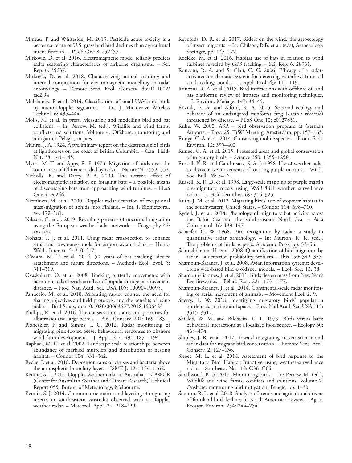- Mineau, P. and Whiteside, M. 2013. Pesticide acute toxicity is a better correlate of U.S. grassland bird declines than agricultural intensification. – PLoS One 8: e57457.
- Mirkovic, D. et al. 2016. Electromagnetic model reliably predicts radar scattering characteristics of airborne organisms. – Sci. Rep. 6: 35637.
- Mirkovic, D. et al. 2018. Characterizing animal anatomy and internal composition for electromagnetic modelling in radar entomology. – Remote Sens. Ecol. Conserv. doi:10.1002/ rse2.94
- Molchanov, P. et al. 2014. Classification of small UAVs and birds by micro-Doppler signatures. – Int. J. Microwave Wireless Technol. 6: 435–444.
- Molis, M. et al. in press. Measuring and modelling bird and bat collisions. – In: Perrow, M. (ed.), Wildlife and wind farms, conflicts and solutions. Volume 4. Offshore: monitoring and mitigation. Pelagic, in press.
- Munro, J. A. 1924. A preliminary report on the destruction of birds at lighthouses on the coast of British Columbia. – Can. Field-Nat. 38: 141–145.
- Myres, M. T. and Apps, R. F. 1973. Migration of birds over the south coast of China recorded by radar. – Nature 241: 552–552.
- Nicholls, B. and Racey, P. A. 2009. The aversive effect of electromagnetic radiation on foraging bats – a possible means of discouraging bats from approaching wind turbines. – PLoS One 4: e6246.
- Nieminen, M. et al. 2000. Doppler radar detection of exceptional mass-migration of aphids into Finland. – Int. J. Biometeorol. 44: 172–181.
- Nilsson, C. et al. 2019. Revealing patterns of nocturnal migration using the European weather radar network. – Ecography 42: xxx–xxx.
- Nohara, T. J. et al. 2011. Using radar cross-section to enhance situational awareness tools for airport avian radars. – Hum.- Wildl. Interact. 5: 210–217.
- O'Mara, M. T. et al. 2014. 50 years of bat tracking: device attachment and future directions. – Methods Ecol. Evol. 5: 311–319.
- Ovaskainen, O. et al. 2008. Tracking butterfly movements with harmonic radar reveals an effect of population age on movement distance. – Proc. Natl Acad. Sci. USA 105: 19090–19095.
- Panuccio, M. et al. 2018. Migrating raptor counts: the need for sharing objectives and field protocols, and the benefits of using radar. – Bird Study, doi:10.1080/00063657.2018.1506423
- Phillips, R. et al. 2016. The conservation status and priorities for albatrosses and large petrels. – Biol. Conserv. 201: 169–183.
- Plonczkier, P. and Simms, I. C. 2012. Radar monitoring of migrating pink-footed geese: behavioural responses to offshore wind farm development. – J. Appl. Ecol. 49: 1187–1194.
- Raphael, M. G. et al. 2002. Landscape-scale relationships between abundance of marbled murrelets and distribution of nesting habitat. – Condor 104: 331–342.
- Reche, I. et al. 2018. Deposition rates of viruses and bacteria above the atmospheric boundary layer. – ISME J. 12: 1154–1162.
- Rennie, S. J. 2012. Doppler weather radar in Australia. CAWCR (Centre for Australian Weather and Climate Research) Technical Report 055, Bureau of Meteorology, Melbourne.
- Rennie, S. J. 2014. Common orientation and layering of migrating insects in southeastern Australia observed with a Doppler weather radar. – Meteorol. Appl. 21: 218–229.
- Reynolds, D. R. et al. 2017. Riders on the wind: the aeroecology of insect migrants. – In: Chilson, P. B. et al. (eds), Aeroecology. Springer, pp. 145–177.
- Roeleke, M. et al. 2016. Habitat use of bats in relation to wind turbines revealed by GPS tracking. – Sci. Rep. 6: 28961.
- Ronconi, R. A. and St Clair, C. C. 2006. Efficacy of a radaractivated on-demand system for deterring waterfowl from oil sands tailings ponds. - J. Appl. Ecol. 43: 111-119.
- Ronconi, R. A. et al. 2015. Bird interactions with offshore oil and gas platforms: review of impacts and monitoring techniques. – J. Environ. Manage. 147: 34–45.
- Roznik, E. A. and Alford, R. A. 2015. Seasonal ecology and behavior of an endangered rainforest frog (*Litoria rheocola*) threatened by disease. – PLoS One 10: e0127851.
- Ruhe, W. 2000. ASR bird observation program at German Airports. – Proc. 25, IBSC Meeting, Amsterdam, pp. 157–165.
- Runge, C. A. et al. 2014. Conserving mobile species. Front. Ecol. Environ. 12: 395–402
- Runge, C. A. et al. 2015. Protected areas and global conservation of migratory birds. – Science 350: 1255–1258.
- Russell, K. R. and Gauthreaux, S. A. Jr 1998. Use of weather radar to characterize movements of roosting purple martins. – Wildl. Soc. Bull. 26: 5–16.
- Russell, K. R. D. et al. 1998. Large-scale mapping of purple martin pre-migratory roosts using WSR-88D weather surveillance radar. – J. Field Ornithol. 69: 316–325.
- Ruth, J. M. et al. 2012. Migrating birds' use of stopover habitat in the southwestern United States. – Condor 114: 698–710.
- Rydell, J. et al. 2014. Phenology of migratory bat activity across the Baltic Sea and the south-eastern North Sea. – Acta Chiropterol. 16: 139–147.
- Schaefer, G. W. 1968. Bird recognition by radar: a study in quantitative radar ornithology. – In: Murton, R. K. (ed.), The problems of birds as pests. Academic Press, pp. 53–56.
- Schmaljohann, H. et al. 2008. Quantification of bird migration by radar – a detection probability problem. – Ibis 150: 342–355.
- Shamoun-Baranes, J. et al. 2008. Avian information systems: developing web-based bird avoidance models. – Ecol. Soc. 13: 38.
- Shamoun-Baranes, J. et al. 2011. Birds flee en mass from New Year's Eve fireworks. – Behav. Ecol. 22: 1173–1177.
- Shamoun-Baranes, J. et al. 2014. Continental-scale radar monitoring of aerial movement of animals. – Movement Ecol. 2: 9.
- Sherry, T. W. 2018. Identifying migratory birds' population bottlenecks in time and space. – Proc. Natl Acad. Sci. USA 115: 3515–3517.
- Shields, W. M. and Bildstein, K. L. 1979. Birds versus bats: behavioral interactions at a localized food source. – Ecology 60: 468–474.
- Shipley, J. R. et al. 2017. Toward integrating citizen science and radar data for migrant bird conservation. – Remote Sens. Ecol. Conserv. 2: 127–136.
- Sieges, M. L. et al. 2014. Assessment of bird response to the Migratory Bird Habitat Initiative using weather-surveillance radar. – Southeast. Nat. 13: G36–G65.
- Smallwood, K. S. 2017. Monitoring birds. In: Perrow, M. (ed.), Wildlife and wind farms, conflicts and solutions. Volume 2. Onshore: monitoring and mitigation. Pelagic, pp. 1–30.
- Stanton, R. L. et al. 2018. Analysis of trends and agricultural drivers of farmland bird declines in North America: a review. – Agric. Ecosyst. Environ. 254: 244–254.